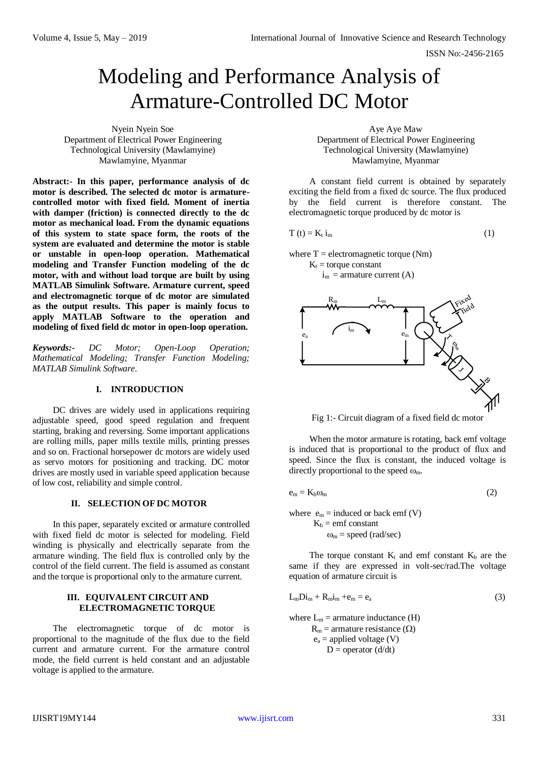# Modeling and Performance Analysis of Armature-Controlled DC Motor

Nyein Nyein Soe Department of Electrical Power Engineering Technological University (Mawlamyine) Mawlamyine, Myanmar

**Abstract:- In this paper, performance analysis of dc motor is described. The selected dc motor is armaturecontrolled motor with fixed field. Moment of inertia with damper (friction) is connected directly to the dc motor as mechanical load. From the dynamic equations of this system to state space form, the roots of the system are evaluated and determine the motor is stable or unstable in open-loop operation. Mathematical modeling and Transfer Function modeling of the dc motor, with and without load torque are built by using MATLAB Simulink Software. Armature current, speed and electromagnetic torque of dc motor are simulated as the output results. This paper is mainly focus to apply MATLAB Software to the operation and modeling of fixed field dc motor in open-loop operation.**

*Keywords:- DC Motor; Open-Loop Operation; Mathematical Modeling; Transfer Function Modeling; MATLAB Simulink Software.*

### **I. INTRODUCTION**

DC drives are widely used in applications requiring adjustable speed, good speed regulation and frequent starting, braking and reversing. Some important applications are rolling mills, paper mills textile mills, printing presses and so on. Fractional horsepower dc motors are widely used as servo motors for positioning and tracking. DC motor drives are mostly used in variable speed application because of low cost, reliability and simple control.

# **II. SELECTION OF DC MOTOR**

In this paper, separately excited or armature controlled with fixed field dc motor is selected for modeling. Field winding is physically and electrically separate from the armature winding. The field flux is controlled only by the control of the field current. The field is assumed as constant and the torque is proportional only to the armature current.

## **III. EQUIVALENT CIRCUIT AND ELECTROMAGNETIC TORQUE**

The electromagnetic torque of dc motor is proportional to the magnitude of the flux due to the field current and armature current. For the armature control mode, the field current is held constant and an adjustable voltage is applied to the armature.

Aye Aye Maw Department of Electrical Power Engineering Technological University (Mawlamyine) Mawlamyine, Myanmar

A constant field current is obtained by separately exciting the field from a fixed dc source. The flux produced by the field current is therefore constant. The electromagnetic torque produced by dc motor is

$$
T(t) = K_t i_m
$$
 (1)

where  $T =$  electromagnetic torque (Nm)  $K_t$  = torque constant  $i_m$  = armature current (A)



Fig 1:- Circuit diagram of a fixed field dc motor

When the motor armature is rotating, back emf voltage is induced that is proportional to the product of flux and speed. Since the flux is constant, the induced voltage is directly proportional to the speed  $\omega_{m}$ .

$$
e_m = K_b \omega_m \tag{2}
$$

where  $e_m$  = induced or back emf (V)  $K_b$  = emf constant  $\omega_m$  = speed (rad/sec)

The torque constant  $K_t$  and emf constant  $K_b$  are the same if they are expressed in volt-sec/rad.The voltage equation of armature circuit is

$$
L_mDi_m + R_mi_m + e_m = e_a \tag{3}
$$

where  $L_m$  = armature inductance (H)  $R_m$  = armature resistance ( $\Omega$ )  $e_a$  = applied voltage (V)  $D = operator (d/dt)$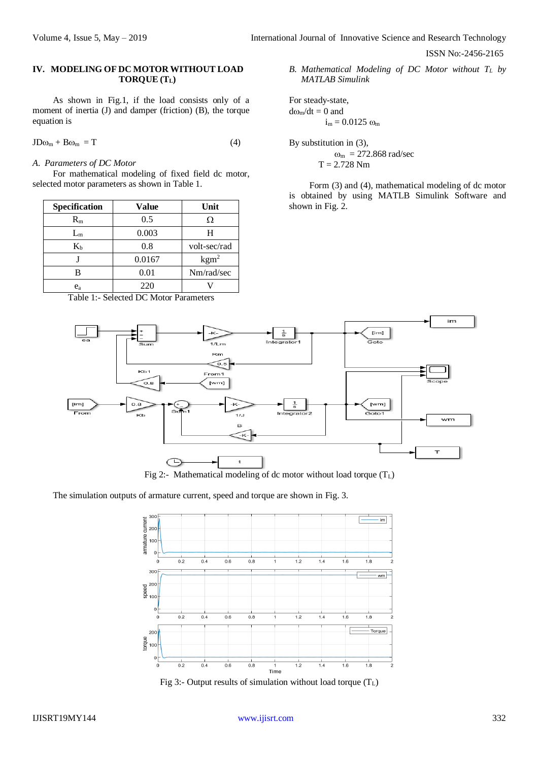# **IV. MODELING OF DC MOTOR WITHOUT LOAD TORQUE (TL)**

As shown in Fig.1, if the load consists only of a moment of inertia (J) and damper (friction) (B), the torque equation is

$$
JD\omega_m + B\omega_m = T \tag{4}
$$

*A. Parameters of DC Motor* 

For mathematical modeling of fixed field dc motor, selected motor parameters as shown in Table 1.

| Specification | Value  | Unit           |
|---------------|--------|----------------|
| $R_{m}$       | 0.5    | Ω              |
| $L_m$         | 0.003  | H              |
| $K_b$         | 0.8    | volt-sec/rad   |
|               | 0.0167 | $\text{kgm}^2$ |
| R             | 0.01   | Nm/rad/sec     |
| $e_{\rm a}$   | 220    |                |

Table 1:- Selected DC Motor Parameters

*B. Mathematical Modeling of DC Motor without T<sup>L</sup> by MATLAB Simulink*

For steady-state,  $d\omega_m/dt = 0$  and  $i_m = 0.0125 \omega_m$ 

By substitution in (3),  $\omega_{\rm m} = 272.868$  rad/sec  $T = 2.728$  Nm

Form (3) and (4), mathematical modeling of dc motor is obtained by using MATLB Simulink Software and shown in Fig. 2.



Fig 2:- Mathematical modeling of dc motor without load torque  $(T_L)$ 

The simulation outputs of armature current, speed and torque are shown in Fig. 3.



Fig 3:- Output results of simulation without load torque  $(T_L)$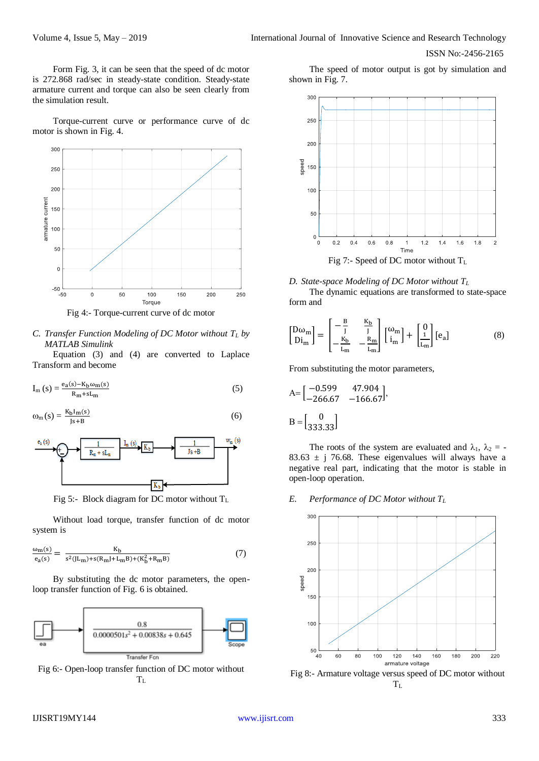Form Fig. 3, it can be seen that the speed of dc motor is 272.868 rad/sec in steady-state condition. Steady-state armature current and torque can also be seen clearly from the simulation result.

Torque-current curve or performance curve of dc motor is shown in Fig. 4.



Fig 4:- Torque-current curve of dc motor

*C. Transfer Function Modeling of DC Motor without T<sup>L</sup> by MATLAB Simulink*

Equation (3) and (4) are converted to Laplace Transform and become

$$
I_{m}(s) = \frac{e_{a}(s) - K_{b}\omega_{m}(s)}{R_{m} + sL_{m}}
$$
\n
$$
(5)
$$

$$
\omega_{m}(s) = \frac{K_{b}I_{m}(s)}{Js + B} \tag{6}
$$



Fig 5:- Block diagram for DC motor without  $T_L$ 

Without load torque, transfer function of dc motor system is

$$
\frac{\omega_{m}(s)}{e_{a}(s)} = \frac{K_{b}}{s^{2}(JL_{m}) + s(R_{m}J + L_{m}B) + (K_{b}^{2} + R_{m}B)}
$$
(7)

By substituting the dc motor parameters, the openloop transfer function of Fig. 6 is obtained.



Fig 6:- Open-loop transfer function of DC motor without  $T<sub>L</sub>$ 

The speed of motor output is got by simulation and shown in Fig. 7.



## *D. State-space Modeling of DC Motor without T<sup>L</sup>*

The dynamic equations are transformed to state-space form and

$$
\begin{bmatrix} D\omega_{m} \\ Di_{m} \end{bmatrix} = \begin{bmatrix} -\frac{B}{J} & \frac{K_{b}}{J} \\ -\frac{K_{b}}{L_{m}} & -\frac{R_{m}}{L_{m}} \end{bmatrix} \begin{bmatrix} \omega_{m} \\ i_{m} \end{bmatrix} + \begin{bmatrix} 0 \\ \frac{1}{L_{m}} \end{bmatrix} [e_{a}] \tag{8}
$$

From substituting the motor parameters,

$$
A = \begin{bmatrix} -0.599 & 47.904 \\ -266.67 & -166.67 \end{bmatrix},
$$

$$
B = \begin{bmatrix} 0 \\ 333.33 \end{bmatrix}
$$

The roots of the system are evaluated and  $\lambda_1$ ,  $\lambda_2$  = -83.63  $\pm$  j 76.68. These eigenvalues will always have a negative real part, indicating that the motor is stable in open-loop operation.

#### *E. Performance of DC Motor without T<sup>L</sup>*



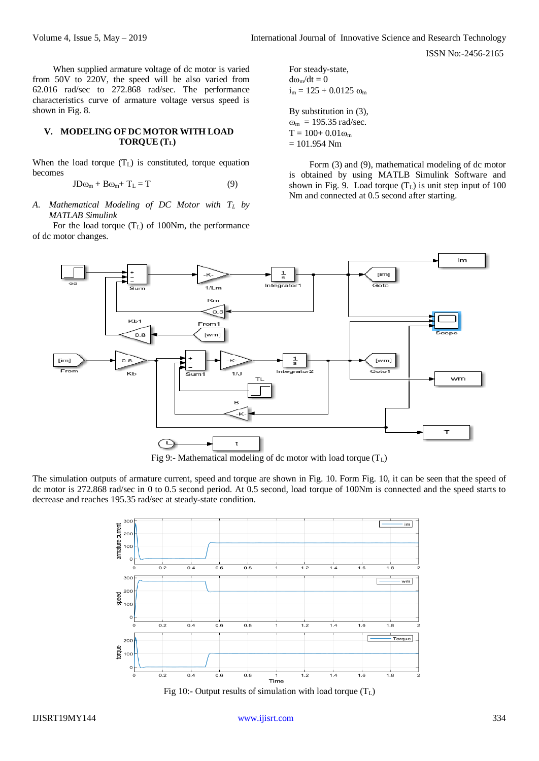When supplied armature voltage of dc motor is varied from 50V to 220V, the speed will be also varied from 62.016 rad/sec to 272.868 rad/sec. The performance characteristics curve of armature voltage versus speed is shown in Fig. 8.

#### **V. MODELING OF DC MOTOR WITH LOAD TORQUE (TL)**

When the load torque  $(T<sub>L</sub>)$  is constituted, torque equation becomes

$$
JD\omega_m + B\omega_m + T_L = T \tag{9}
$$

*A. Mathematical Modeling of DC Motor with T<sup>L</sup> by MATLAB Simulink*

For the load torque  $(T_L)$  of 100Nm, the performance of dc motor changes.

For steady-state,  $d\omega_m/dt = 0$  $i_m = 125 + 0.0125 \omega_m$ 

By substitution in (3),  $\omega_{\rm m} = 195.35$  rad/sec.  $T = 100 + 0.01 \omega_m$  $= 101.954$  Nm

Form (3) and (9), mathematical modeling of dc motor is obtained by using MATLB Simulink Software and shown in Fig. 9. Load torque  $(T<sub>L</sub>)$  is unit step input of 100 Nm and connected at 0.5 second after starting.



Fig 9:- Mathematical modeling of dc motor with load torque  $(T_L)$ 

The simulation outputs of armature current, speed and torque are shown in Fig. 10. Form Fig. 10, it can be seen that the speed of dc motor is 272.868 rad/sec in 0 to 0.5 second period. At 0.5 second, load torque of 100Nm is connected and the speed starts to decrease and reaches 195.35 rad/sec at steady-state condition.



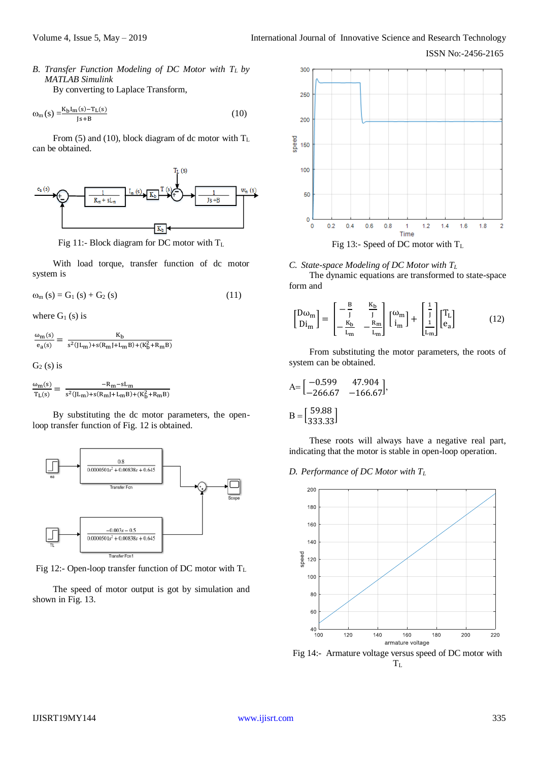*B. Transfer Function Modeling of DC Motor with TL by MATLAB Simulink*

By converting to Laplace Transform,

$$
\omega_{\rm m}(s) = \frac{K_{\rm b}I_{\rm m}(s) - T_{\rm L}(s)}{|s + B|} \tag{10}
$$

From (5) and (10), block diagram of dc motor with  $T_L$ can be obtained.



Fig 11:- Block diagram for DC motor with  $T_L$ 

With load torque, transfer function of dc motor system is

$$
\omega_{m}(s) = G_{1}(s) + G_{2}(s)
$$
 (11)

where  $G_1$  (s) is

 $\omega_{\rm m}$ (s)  $\frac{\omega_{\rm m}(s)}{\omega_{\rm e_a}(s)} = \frac{K_{\rm b}}{s^2(JL_{\rm m}) + s(R_{\rm m}J + L_{\rm b})}$  $\frac{R_b}{s^2(JL_m)+s(R_mJ+L_mB)+(K_b^2+R_mB)}$ 

 $G_2$  (s) is

$$
\frac{\omega_m(s)}{T_L(s)} = \frac{-R_m - sL_m}{s^2(JL_m) + s(R_mJ + L_mB) + (K_b^2 + R_mB)}
$$

By substituting the dc motor parameters, the openloop transfer function of Fig. 12 is obtained.

i,



Fig 12:- Open-loop transfer function of DC motor with  $T_L$ 

The speed of motor output is got by simulation and shown in Fig. 13.



#### *C. State-space Modeling of DC Motor with T<sup>L</sup>*

The dynamic equations are transformed to state-space form and

$$
\begin{bmatrix} D\omega_{m} \\ D i_{m} \end{bmatrix} = \begin{bmatrix} -\frac{B}{J} & \frac{K_{b}}{J} \\ -\frac{K_{b}}{L_{m}} & -\frac{R_{m}}{L_{m}} \end{bmatrix} \begin{bmatrix} \omega_{m} \\ i_{m} \end{bmatrix} + \begin{bmatrix} \frac{1}{J} \\ \frac{1}{L_{m}} \end{bmatrix} \begin{bmatrix} T_{L} \\ e_{a} \end{bmatrix}
$$
(12)

From substituting the motor parameters, the roots of system can be obtained.

$$
A = \begin{bmatrix} -0.599 & 47.904 \\ -266.67 & -166.67 \end{bmatrix},
$$

$$
B = \begin{bmatrix} 59.88 \\ 333.33 \end{bmatrix}
$$

These roots will always have a negative real part, indicating that the motor is stable in open-loop operation.

#### *D. Performance of DC Motor with T<sup>L</sup>*



Fig 14:- Armature voltage versus speed of DC motor with  $T_{L}$